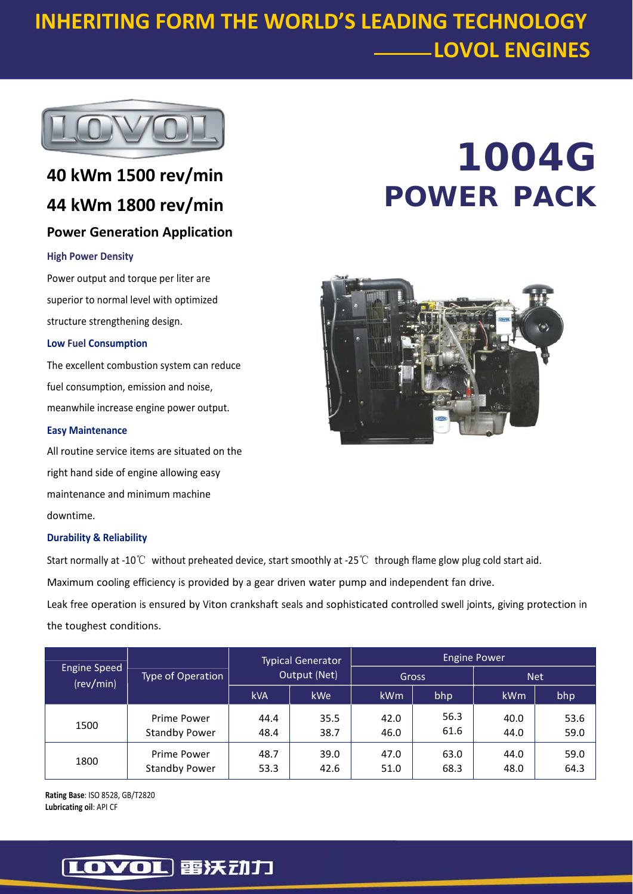# **INHERITING FORM THE WORLD'S LEADING TECHNOLOGY LOVOL ENGINES**



# **40 kWm 1500 rev/min 44 kWm 1800 rev/min**

## **Power Generation Application**

### **High Power Density**

Power output and torque per liter are superior to normal level with optimized structure strengthening design.

### **Low Fuel Consumption**

The excellent combustion system can reduce fuel consumption, emission and noise, meanwhile increase engine power output.

### **Easy Maintenance**

All routine service items are situated on the right hand side of engine allowing easy maintenance and minimum machine downtime.

### **Durability & Reliability**

Start normally at ‐10℃ without preheated device, start smoothly at ‐25℃ through flame glow plug cold start aid.

Maximum cooling efficiency is provided by a gear driven water pump and independent fan drive.

Leak free operation is ensured by Viton crankshaft seals and sophisticated controlled swell joints, giving protection in the toughest conditions.

| <b>Engine Speed</b><br>(rev/min) | Type of Operation                   | <b>Typical Generator</b><br>Output (Net) |              | <b>Engine Power</b> |              |              |              |
|----------------------------------|-------------------------------------|------------------------------------------|--------------|---------------------|--------------|--------------|--------------|
|                                  |                                     |                                          |              | Gross               |              | <b>Net</b>   |              |
|                                  |                                     | <b>kVA</b>                               | <b>kWe</b>   | <b>kWm</b>          | bhp          | kWm          | bhp          |
| 1500                             | Prime Power<br><b>Standby Power</b> | 44.4<br>48.4                             | 35.5<br>38.7 | 42.0<br>46.0        | 56.3<br>61.6 | 40.0<br>44.0 | 53.6<br>59.0 |
| 1800                             | Prime Power<br><b>Standby Power</b> | 48.7<br>53.3                             | 39.0<br>42.6 | 47.0<br>51.0        | 63.0<br>68.3 | 44.0<br>48.0 | 59.0<br>64.3 |

**Rating Base**: ISO 8528, GB/T2820 **Lubricating oil**: API CF

# **1004G POWER PACK**



# [LOVOL] 雷沃动力